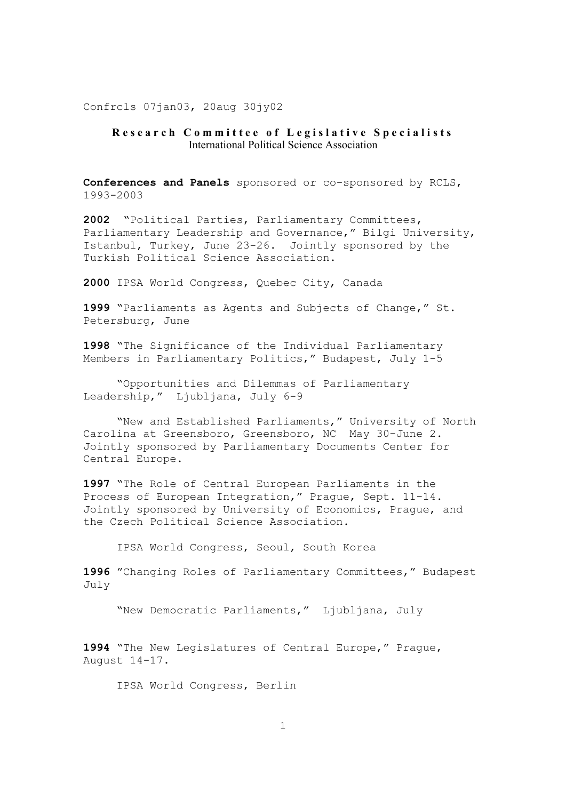Confrcls 07jan03, 20aug 30jy02

## **Research Committee of Legislative Specialists** International Political Science Association

**Conferences and Panels** sponsored or co-sponsored by RCLS, 1993-2003

**2002** "Political Parties, Parliamentary Committees, Parliamentary Leadership and Governance," Bilgi University, Istanbul, Turkey, June 23-26. Jointly sponsored by the Turkish Political Science Association.

**2000** IPSA World Congress, Quebec City, Canada

**1999** "Parliaments as Agents and Subjects of Change," St. Petersburg, June

**1998** "The Significance of the Individual Parliamentary Members in Parliamentary Politics," Budapest, July 1-5

 "Opportunities and Dilemmas of Parliamentary Leadership," Ljubljana, July 6-9

 "New and Established Parliaments," University of North Carolina at Greensboro, Greensboro, NC May 30-June 2. Jointly sponsored by Parliamentary Documents Center for Central Europe.

**1997** "The Role of Central European Parliaments in the Process of European Integration," Prague, Sept. 11-14. Jointly sponsored by University of Economics, Prague, and the Czech Political Science Association.

IPSA World Congress, Seoul, South Korea

**1996** "Changing Roles of Parliamentary Committees," Budapest July

"New Democratic Parliaments," Ljubljana, July

**1994** "The New Legislatures of Central Europe," Prague, August 14-17.

IPSA World Congress, Berlin